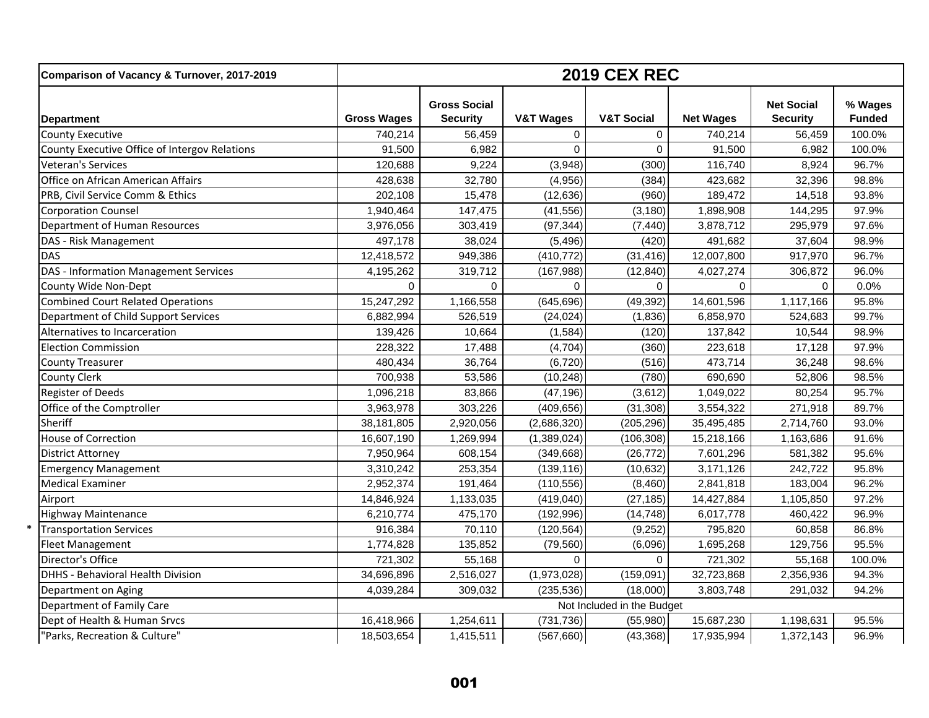| Comparison of Vacancy & Turnover, 2017-2019   | <b>2019 CEX REC</b> |                                        |                      |                            |                  |                                      |                          |  |
|-----------------------------------------------|---------------------|----------------------------------------|----------------------|----------------------------|------------------|--------------------------------------|--------------------------|--|
| <b>Department</b>                             | <b>Gross Wages</b>  | <b>Gross Social</b><br><b>Security</b> | <b>V&amp;T Wages</b> | <b>V&amp;T Social</b>      | <b>Net Wages</b> | <b>Net Social</b><br><b>Security</b> | % Wages<br><b>Funded</b> |  |
| <b>County Executive</b>                       | 740,214             | 56,459                                 | $\mathbf 0$          | $\Omega$                   | 740,214          | 56,459                               | 100.0%                   |  |
| County Executive Office of Intergov Relations | 91,500              | 6,982                                  | $\Omega$             | $\Omega$                   | 91,500           | 6,982                                | 100.0%                   |  |
| Veteran's Services                            | 120,688             | 9,224                                  | (3,948)              | (300)                      | 116,740          | 8,924                                | 96.7%                    |  |
| Office on African American Affairs            | 428,638             | 32,780                                 | (4,956)              | (384)                      | 423,682          | 32,396                               | 98.8%                    |  |
| PRB, Civil Service Comm & Ethics              | 202,108             | 15,478                                 | (12, 636)            | (960)                      | 189,472          | 14,518                               | 93.8%                    |  |
| <b>Corporation Counsel</b>                    | 1,940,464           | 147,475                                | (41, 556)            | (3, 180)                   | 1,898,908        | 144,295                              | 97.9%                    |  |
| Department of Human Resources                 | 3,976,056           | 303,419                                | (97, 344)            | (7, 440)                   | 3,878,712        | 295,979                              | 97.6%                    |  |
| DAS - Risk Management                         | 497,178             | 38,024                                 | (5, 496)             | (420)                      | 491,682          | 37,604                               | 98.9%                    |  |
| <b>DAS</b>                                    | 12,418,572          | 949,386                                | (410, 772)           | (31, 416)                  | 12,007,800       | 917,970                              | 96.7%                    |  |
| DAS - Information Management Services         | 4,195,262           | 319,712                                | (167, 988)           | (12, 840)                  | 4,027,274        | 306,872                              | 96.0%                    |  |
| County Wide Non-Dept                          | $\Omega$            | $\Omega$                               | $\Omega$             | $\Omega$                   | $\Omega$         | $\Omega$                             | 0.0%                     |  |
| <b>Combined Court Related Operations</b>      | 15,247,292          | 1,166,558                              | (645, 696)           | (49, 392)                  | 14,601,596       | 1,117,166                            | 95.8%                    |  |
| Department of Child Support Services          | 6,882,994           | 526,519                                | (24, 024)            | (1,836)                    | 6,858,970        | 524,683                              | 99.7%                    |  |
| Alternatives to Incarceration                 | 139,426             | 10,664                                 | (1,584)              | (120)                      | 137,842          | 10,544                               | 98.9%                    |  |
| <b>Election Commission</b>                    | 228,322             | 17,488                                 | (4, 704)             | (360)                      | 223,618          | 17,128                               | 97.9%                    |  |
| <b>County Treasurer</b>                       | 480,434             | 36,764                                 | (6, 720)             | (516)                      | 473,714          | 36,248                               | 98.6%                    |  |
| <b>County Clerk</b>                           | 700,938             | 53,586                                 | (10, 248)            | (780)                      | 690,690          | 52,806                               | 98.5%                    |  |
| <b>Register of Deeds</b>                      | 1,096,218           | 83,866                                 | (47, 196)            | (3,612)                    | 1,049,022        | 80,254                               | 95.7%                    |  |
| Office of the Comptroller                     | 3,963,978           | 303,226                                | (409, 656)           | (31, 308)                  | 3,554,322        | 271,918                              | 89.7%                    |  |
| Sheriff                                       | 38,181,805          | 2,920,056                              | (2,686,320)          | (205, 296)                 | 35,495,485       | 2,714,760                            | 93.0%                    |  |
| House of Correction                           | 16,607,190          | 1,269,994                              | (1,389,024)          | (106, 308)                 | 15,218,166       | 1,163,686                            | 91.6%                    |  |
| <b>District Attorney</b>                      | 7,950,964           | 608,154                                | (349, 668)           | (26, 772)                  | 7,601,296        | 581,382                              | 95.6%                    |  |
| <b>Emergency Management</b>                   | 3,310,242           | 253,354                                | (139, 116)           | (10, 632)                  | 3,171,126        | 242,722                              | 95.8%                    |  |
| <b>Medical Examiner</b>                       | 2,952,374           | 191,464                                | (110, 556)           | (8,460)                    | 2,841,818        | 183,004                              | 96.2%                    |  |
| Airport                                       | 14,846,924          | 1,133,035                              | (419,040)            | (27, 185)                  | 14,427,884       | 1,105,850                            | 97.2%                    |  |
| <b>Highway Maintenance</b>                    | 6,210,774           | 475,170                                | (192, 996)           | (14, 748)                  | 6,017,778        | 460,422                              | 96.9%                    |  |
| <b>Transportation Services</b>                | 916,384             | 70,110                                 | (120, 564)           | (9,252)                    | 795,820          | 60,858                               | 86.8%                    |  |
| <b>Fleet Management</b>                       | 1,774,828           | 135,852                                | (79, 560)            | (6,096)                    | 1,695,268        | 129,756                              | 95.5%                    |  |
| Director's Office                             | 721,302             | 55,168                                 | $\Omega$             | $\Omega$                   | 721,302          | 55,168                               | 100.0%                   |  |
| DHHS - Behavioral Health Division             | 34,696,896          | 2,516,027                              | (1,973,028)          | (159,091)                  | 32,723,868       | 2,356,936                            | 94.3%                    |  |
| Department on Aging                           | 4,039,284           | 309,032                                | (235, 536)           | (18,000)                   | 3,803,748        | 291,032                              | 94.2%                    |  |
| Department of Family Care                     |                     |                                        |                      | Not Included in the Budget |                  |                                      |                          |  |
| Dept of Health & Human Srvcs                  | 16,418,966          | 1,254,611                              | (731, 736)           | (55,980)                   | 15,687,230       | 1,198,631                            | 95.5%                    |  |
| "Parks, Recreation & Culture"                 | 18,503,654          | 1,415,511                              | (567,660)            | (43, 368)                  | 17,935,994       | 1,372,143                            | 96.9%                    |  |

\*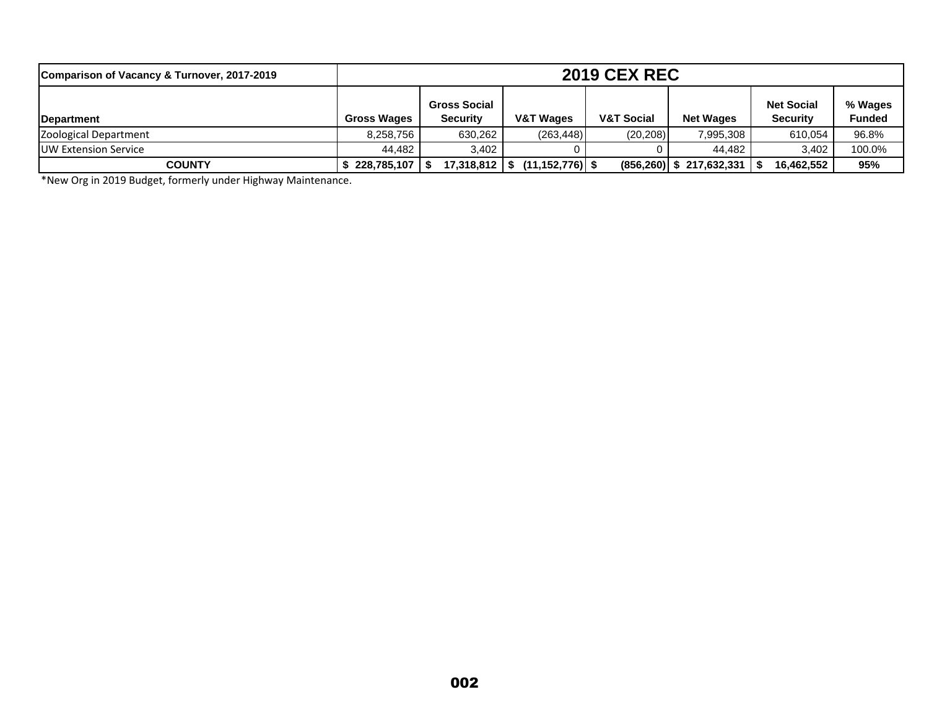| Comparison of Vacancy & Turnover, 2017-2019 | <b>2019 CEX REC</b> |                                        |                                       |                       |                            |                                      |                          |
|---------------------------------------------|---------------------|----------------------------------------|---------------------------------------|-----------------------|----------------------------|--------------------------------------|--------------------------|
| <b>IDepartment</b>                          | <b>Gross Wages</b>  | <b>Gross Social</b><br><b>Security</b> | V&T Wages                             | <b>V&amp;T Social</b> | <b>Net Wages</b>           | <b>Net Social</b><br><b>Security</b> | % Wages<br><b>Funded</b> |
| Zoological Department                       | 8.258.756           | 630.262                                | (263, 448)                            | (20, 208)             | 7,995,308                  | 610.054                              | 96.8%                    |
| <b>IUW Extension Service</b>                | 44.482              | 3.402                                  |                                       |                       | 44.482                     | 3.402                                | 100.0%                   |
| <b>COUNTY</b>                               | 228,785,107   \$    |                                        | $17,318,812$   \$ $(11,152,776)$   \$ |                       | $(856,260)$ \$ 217,632,331 | 16,462,552                           | 95%                      |

\*New Org in 2019 Budget, formerly under Highway Maintenance.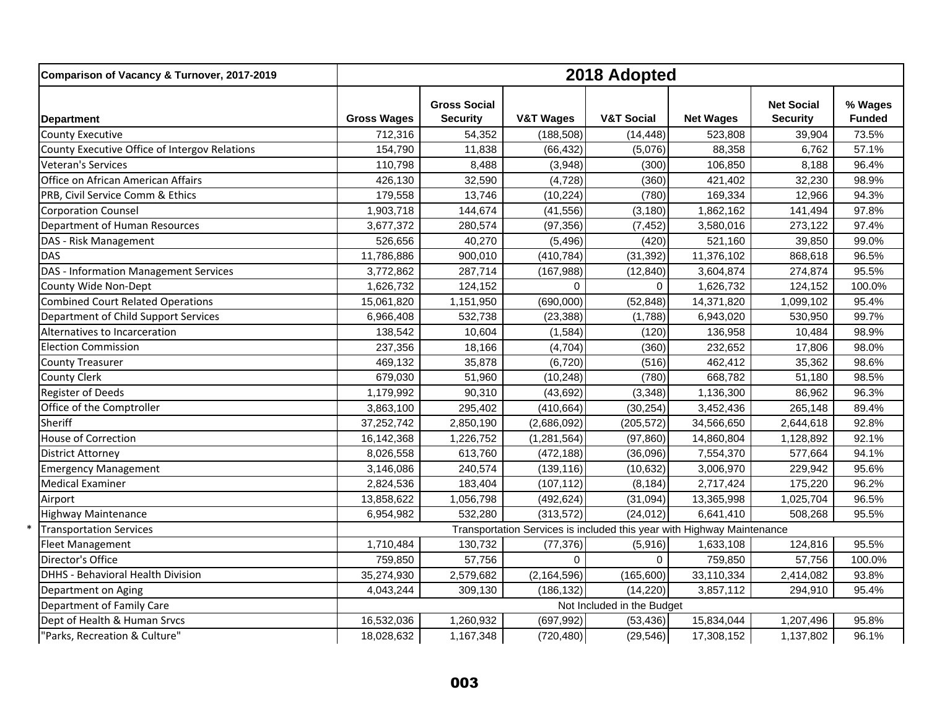| Comparison of Vacancy & Turnover, 2017-2019   | 2018 Adopted       |                                        |                                                                        |                            |                  |                                      |                          |
|-----------------------------------------------|--------------------|----------------------------------------|------------------------------------------------------------------------|----------------------------|------------------|--------------------------------------|--------------------------|
| <b>Department</b>                             | <b>Gross Wages</b> | <b>Gross Social</b><br><b>Security</b> | <b>V&amp;T Wages</b>                                                   | <b>V&amp;T Social</b>      | <b>Net Wages</b> | <b>Net Social</b><br><b>Security</b> | % Wages<br><b>Funded</b> |
| <b>County Executive</b>                       | 712,316            | 54,352                                 | (188, 508)                                                             | (14, 448)                  | 523,808          | 39,904                               | 73.5%                    |
| County Executive Office of Intergov Relations | 154,790            | 11,838                                 | (66, 432)                                                              | (5,076)                    | 88,358           | 6,762                                | 57.1%                    |
| Veteran's Services                            | 110,798            | 8,488                                  | (3,948)                                                                | (300)                      | 106,850          | 8,188                                | 96.4%                    |
| Office on African American Affairs            | 426,130            | 32,590                                 | (4, 728)                                                               | (360)                      | 421,402          | 32,230                               | 98.9%                    |
| PRB, Civil Service Comm & Ethics              | 179,558            | 13,746                                 | (10, 224)                                                              | (780)                      | 169,334          | 12,966                               | 94.3%                    |
| <b>Corporation Counsel</b>                    | 1,903,718          | 144,674                                | (41, 556)                                                              | (3, 180)                   | 1,862,162        | 141,494                              | 97.8%                    |
| Department of Human Resources                 | 3,677,372          | 280,574                                | (97, 356)                                                              | (7, 452)                   | 3,580,016        | 273,122                              | 97.4%                    |
| DAS - Risk Management                         | 526,656            | 40,270                                 | (5, 496)                                                               | (420)                      | 521,160          | 39,850                               | 99.0%                    |
| <b>DAS</b>                                    | 11,786,886         | 900,010                                | (410, 784)                                                             | (31, 392)                  | 11,376,102       | 868,618                              | 96.5%                    |
| DAS - Information Management Services         | 3,772,862          | 287,714                                | (167, 988)                                                             | (12, 840)                  | 3,604,874        | 274,874                              | 95.5%                    |
| County Wide Non-Dept                          | 1,626,732          | 124,152                                | $\Omega$                                                               | $\Omega$                   | 1,626,732        | 124,152                              | 100.0%                   |
| <b>Combined Court Related Operations</b>      | 15,061,820         | 1,151,950                              | (690,000)                                                              | (52, 848)                  | 14,371,820       | 1,099,102                            | 95.4%                    |
| Department of Child Support Services          | 6,966,408          | 532,738                                | (23, 388)                                                              | (1,788)                    | 6,943,020        | 530,950                              | 99.7%                    |
| Alternatives to Incarceration                 | 138,542            | 10,604                                 | (1,584)                                                                | (120)                      | 136,958          | 10,484                               | 98.9%                    |
| <b>Election Commission</b>                    | 237,356            | 18,166                                 | (4,704)                                                                | (360)                      | 232,652          | 17,806                               | 98.0%                    |
| <b>County Treasurer</b>                       | 469,132            | 35,878                                 | (6,720)                                                                | (516)                      | 462,412          | 35,362                               | 98.6%                    |
| <b>County Clerk</b>                           | 679,030            | 51,960                                 | (10, 248)                                                              | (780)                      | 668,782          | 51,180                               | 98.5%                    |
| <b>Register of Deeds</b>                      | 1,179,992          | 90,310                                 | (43, 692)                                                              | (3, 348)                   | 1,136,300        | 86,962                               | 96.3%                    |
| Office of the Comptroller                     | 3,863,100          | 295,402                                | (410, 664)                                                             | (30, 254)                  | 3,452,436        | 265,148                              | 89.4%                    |
| Sheriff                                       | 37,252,742         | 2,850,190                              | (2,686,092)                                                            | (205, 572)                 | 34,566,650       | 2,644,618                            | 92.8%                    |
| House of Correction                           | 16,142,368         | 1,226,752                              | (1, 281, 564)                                                          | (97, 860)                  | 14,860,804       | 1,128,892                            | 92.1%                    |
| <b>District Attorney</b>                      | 8,026,558          | 613,760                                | (472, 188)                                                             | (36,096)                   | 7,554,370        | 577,664                              | 94.1%                    |
| <b>Emergency Management</b>                   | 3,146,086          | 240,574                                | (139, 116)                                                             | (10, 632)                  | 3,006,970        | 229,942                              | 95.6%                    |
| <b>Medical Examiner</b>                       | 2,824,536          | 183,404                                | (107, 112)                                                             | (8, 184)                   | 2,717,424        | 175,220                              | 96.2%                    |
| Airport                                       | 13,858,622         | 1,056,798                              | (492, 624)                                                             | (31,094)                   | 13,365,998       | 1,025,704                            | 96.5%                    |
| <b>Highway Maintenance</b>                    | 6,954,982          | 532,280                                | (313,572)                                                              | (24, 012)                  | 6,641,410        | 508,268                              | 95.5%                    |
| <b>Transportation Services</b>                |                    |                                        | Transportation Services is included this year with Highway Maintenance |                            |                  |                                      |                          |
| <b>Fleet Management</b>                       | 1,710,484          | 130,732                                | (77, 376)                                                              | (5,916)                    | 1,633,108        | 124,816                              | 95.5%                    |
| Director's Office                             | 759,850            | 57,756                                 | $\mathbf 0$                                                            | 0                          | 759,850          | 57,756                               | 100.0%                   |
| DHHS - Behavioral Health Division             | 35,274,930         | 2,579,682                              | (2, 164, 596)                                                          | (165,600)                  | 33,110,334       | 2,414,082                            | 93.8%                    |
| Department on Aging                           | 4,043,244          | 309,130                                | (186, 132)                                                             | (14, 220)                  | 3,857,112        | 294,910                              | 95.4%                    |
| Department of Family Care                     |                    |                                        |                                                                        | Not Included in the Budget |                  |                                      |                          |
| Dept of Health & Human Srvcs                  | 16,532,036         | 1,260,932                              | (697, 992)                                                             | (53, 436)                  | 15,834,044       | 1,207,496                            | 95.8%                    |
| 'Parks, Recreation & Culture"                 | 18,028,632         | 1,167,348                              | (720, 480)                                                             | (29, 546)                  | 17,308,152       | 1,137,802                            | 96.1%                    |

\*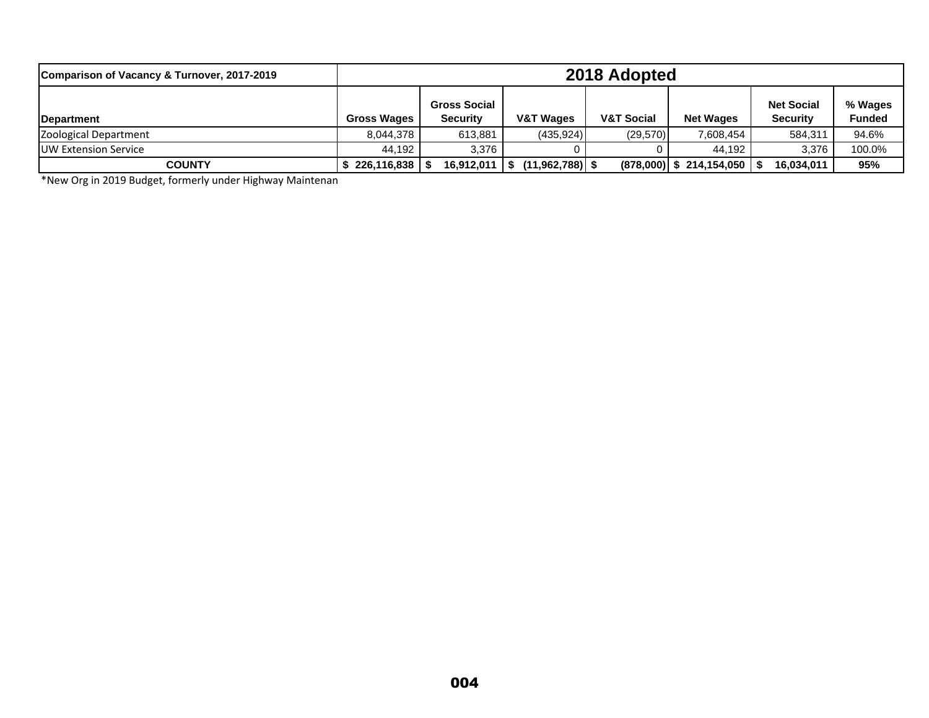| Comparison of Vacancy & Turnover, 2017-2019 | 2018 Adopted       |                                        |                      |                       |                            |                                      |                          |
|---------------------------------------------|--------------------|----------------------------------------|----------------------|-----------------------|----------------------------|--------------------------------------|--------------------------|
| <b>IDepartment</b>                          | <b>Gross Wages</b> | <b>Gross Social</b><br><b>Security</b> | <b>V&amp;T Wages</b> | <b>V&amp;T Social</b> | <b>Net Wages</b>           | <b>Net Social</b><br><b>Security</b> | % Wages<br><b>Funded</b> |
| Zoological Department                       | 8.044.378          | 613,881                                | (435, 924)           | (29, 570)             | 7,608,454                  | 584.311                              | 94.6%                    |
| <b>IUW Extension Service</b>                | 44.192             | 3.376                                  |                      |                       | 44.192                     | 3.376                                | 100.0%                   |
| <b>COUNTY</b>                               | 226,116,838        | 16,912,011                             | $(11,962,788)$ \$    |                       | $(878,000)$ \$ 214,154,050 | 16,034,011                           | 95%                      |

\*New Org in 2019 Budget, formerly under Highway Maintenan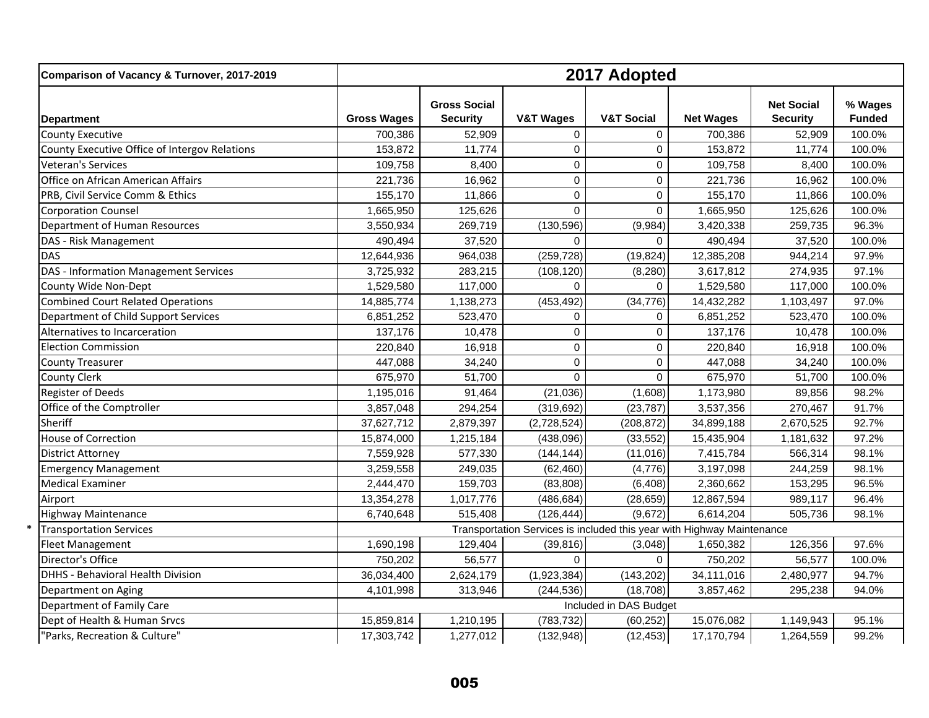| Comparison of Vacancy & Turnover, 2017-2019   |                    | 2017 Adopted                           |                                                                        |                        |                  |                                      |                          |  |  |
|-----------------------------------------------|--------------------|----------------------------------------|------------------------------------------------------------------------|------------------------|------------------|--------------------------------------|--------------------------|--|--|
| <b>Department</b>                             | <b>Gross Wages</b> | <b>Gross Social</b><br><b>Security</b> | <b>V&amp;T Wages</b>                                                   | <b>V&amp;T Social</b>  | <b>Net Wages</b> | <b>Net Social</b><br><b>Security</b> | % Wages<br><b>Funded</b> |  |  |
| <b>County Executive</b>                       | 700,386            | 52,909                                 | $\Omega$                                                               | $\Omega$               | 700,386          | 52,909                               | 100.0%                   |  |  |
| County Executive Office of Intergov Relations | 153,872            | 11,774                                 | $\mathbf 0$                                                            | $\mathbf 0$            | 153,872          | 11,774                               | 100.0%                   |  |  |
| Veteran's Services                            | 109,758            | 8,400                                  | $\mathbf 0$                                                            | $\mathbf 0$            | 109,758          | 8,400                                | 100.0%                   |  |  |
| Office on African American Affairs            | 221,736            | 16,962                                 | $\mathbf 0$                                                            | $\mathbf 0$            | 221,736          | 16,962                               | 100.0%                   |  |  |
| PRB, Civil Service Comm & Ethics              | 155,170            | 11,866                                 | $\mathbf 0$                                                            | $\mathbf 0$            | 155,170          | 11,866                               | 100.0%                   |  |  |
| <b>Corporation Counsel</b>                    | 1,665,950          | 125,626                                | $\mathbf 0$                                                            | $\mathbf 0$            | 1,665,950        | 125,626                              | 100.0%                   |  |  |
| Department of Human Resources                 | 3,550,934          | 269,719                                | (130, 596)                                                             | (9,984)                | 3,420,338        | 259,735                              | 96.3%                    |  |  |
| DAS - Risk Management                         | 490,494            | 37,520                                 | $\mathbf 0$                                                            | $\Omega$               | 490,494          | 37,520                               | 100.0%                   |  |  |
| <b>DAS</b>                                    | 12,644,936         | 964,038                                | (259, 728)                                                             | (19, 824)              | 12,385,208       | 944,214                              | 97.9%                    |  |  |
| <b>DAS - Information Management Services</b>  | 3,725,932          | 283,215                                | (108, 120)                                                             | (8, 280)               | 3,617,812        | 274,935                              | 97.1%                    |  |  |
| County Wide Non-Dept                          | 1,529,580          | 117,000                                | $\Omega$                                                               | $\Omega$               | 1,529,580        | 117,000                              | 100.0%                   |  |  |
| <b>Combined Court Related Operations</b>      | 14,885,774         | 1,138,273                              | (453, 492)                                                             | (34, 776)              | 14,432,282       | 1,103,497                            | 97.0%                    |  |  |
| Department of Child Support Services          | 6,851,252          | 523,470                                | $\Omega$                                                               | $\Omega$               | 6,851,252        | 523,470                              | 100.0%                   |  |  |
| Alternatives to Incarceration                 | 137,176            | 10,478                                 | $\mathbf 0$                                                            | $\Omega$               | 137,176          | 10,478                               | 100.0%                   |  |  |
| <b>Election Commission</b>                    | 220,840            | 16,918                                 | $\mathbf 0$                                                            | 0                      | 220,840          | 16,918                               | 100.0%                   |  |  |
| <b>County Treasurer</b>                       | 447,088            | 34,240                                 | $\mathbf 0$                                                            | $\mathbf 0$            | 447,088          | 34,240                               | 100.0%                   |  |  |
| <b>County Clerk</b>                           | 675,970            | 51,700                                 | $\Omega$                                                               | $\Omega$               | 675,970          | 51,700                               | 100.0%                   |  |  |
| <b>Register of Deeds</b>                      | 1,195,016          | 91,464                                 | (21, 036)                                                              | (1,608)                | 1,173,980        | 89,856                               | 98.2%                    |  |  |
| Office of the Comptroller                     | 3,857,048          | 294,254                                | (319, 692)                                                             | (23, 787)              | 3,537,356        | 270,467                              | 91.7%                    |  |  |
| Sheriff                                       | 37,627,712         | 2,879,397                              | (2,728,524)                                                            | (208, 872)             | 34,899,188       | 2,670,525                            | 92.7%                    |  |  |
| <b>House of Correction</b>                    | 15,874,000         | 1,215,184                              | (438,096)                                                              | (33, 552)              | 15,435,904       | 1,181,632                            | 97.2%                    |  |  |
| <b>District Attorney</b>                      | 7,559,928          | 577,330                                | (144, 144)                                                             | (11, 016)              | 7,415,784        | 566,314                              | 98.1%                    |  |  |
| <b>Emergency Management</b>                   | 3,259,558          | 249,035                                | (62, 460)                                                              | (4,776)                | 3,197,098        | 244,259                              | 98.1%                    |  |  |
| <b>Medical Examiner</b>                       | 2,444,470          | 159,703                                | (83, 808)                                                              | (6, 408)               | 2,360,662        | 153,295                              | 96.5%                    |  |  |
| Airport                                       | 13,354,278         | 1,017,776                              | (486, 684)                                                             | (28, 659)              | 12,867,594       | 989,117                              | 96.4%                    |  |  |
| <b>Highway Maintenance</b>                    | 6,740,648          | 515,408                                | (126, 444)                                                             | (9,672)                | 6,614,204        | 505,736                              | 98.1%                    |  |  |
| <b>Transportation Services</b>                |                    |                                        | Transportation Services is included this year with Highway Maintenance |                        |                  |                                      |                          |  |  |
| <b>Fleet Management</b>                       | 1,690,198          | 129,404                                | (39, 816)                                                              | (3,048)                | 1,650,382        | 126,356                              | 97.6%                    |  |  |
| Director's Office                             | 750,202            | 56,577                                 | $\mathbf 0$                                                            | $\mathbf 0$            | 750,202          | 56,577                               | 100.0%                   |  |  |
| <b>DHHS - Behavioral Health Division</b>      | 36,034,400         | 2,624,179                              | (1,923,384)                                                            | (143, 202)             | 34,111,016       | 2,480,977                            | 94.7%                    |  |  |
| Department on Aging                           | 4,101,998          | 313,946                                | (244, 536)                                                             | (18, 708)              | 3,857,462        | 295,238                              | 94.0%                    |  |  |
| Department of Family Care                     |                    |                                        |                                                                        | Included in DAS Budget |                  |                                      |                          |  |  |
| Dept of Health & Human Srvcs                  | 15,859,814         | 1,210,195                              | (783, 732)                                                             | (60, 252)              | 15,076,082       | 1,149,943                            | 95.1%                    |  |  |
| 'Parks, Recreation & Culture"                 | 17,303,742         | 1,277,012                              | (132, 948)                                                             | (12, 453)              | 17,170,794       | 1,264,559                            | 99.2%                    |  |  |

\*